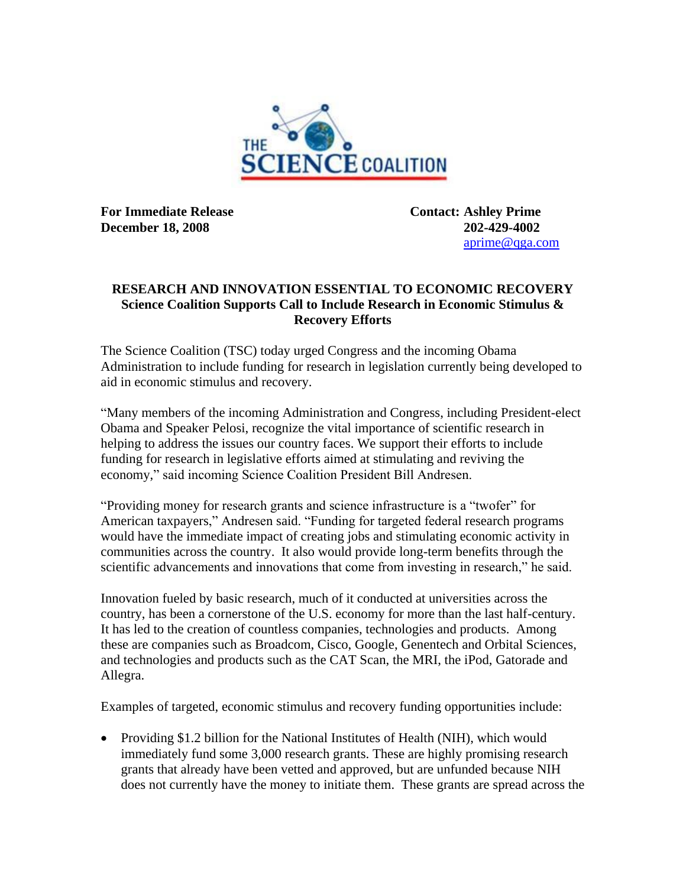

**For Immediate Release Contact: Ashley Prime December 18, 2008** 202-429-4002

[aprime@qga.com](mailto:aprime@qga.com)

## **RESEARCH AND INNOVATION ESSENTIAL TO ECONOMIC RECOVERY Science Coalition Supports Call to Include Research in Economic Stimulus & Recovery Efforts**

The Science Coalition (TSC) today urged Congress and the incoming Obama Administration to include funding for research in legislation currently being developed to aid in economic stimulus and recovery.

"Many members of the incoming Administration and Congress, including President-elect Obama and Speaker Pelosi, recognize the vital importance of scientific research in helping to address the issues our country faces. We support their efforts to include funding for research in legislative efforts aimed at stimulating and reviving the economy," said incoming Science Coalition President Bill Andresen.

"Providing money for research grants and science infrastructure is a "twofer" for American taxpayers," Andresen said. "Funding for targeted federal research programs would have the immediate impact of creating jobs and stimulating economic activity in communities across the country. It also would provide long-term benefits through the scientific advancements and innovations that come from investing in research," he said.

Innovation fueled by basic research, much of it conducted at universities across the country, has been a cornerstone of the U.S. economy for more than the last half-century. It has led to the creation of countless companies, technologies and products. Among these are companies such as Broadcom, Cisco, Google, Genentech and Orbital Sciences, and technologies and products such as the CAT Scan, the MRI, the iPod, Gatorade and Allegra.

Examples of targeted, economic stimulus and recovery funding opportunities include:

• Providing \$1.2 billion for the National Institutes of Health (NIH), which would immediately fund some 3,000 research grants. These are highly promising research grants that already have been vetted and approved, but are unfunded because NIH does not currently have the money to initiate them. These grants are spread across the